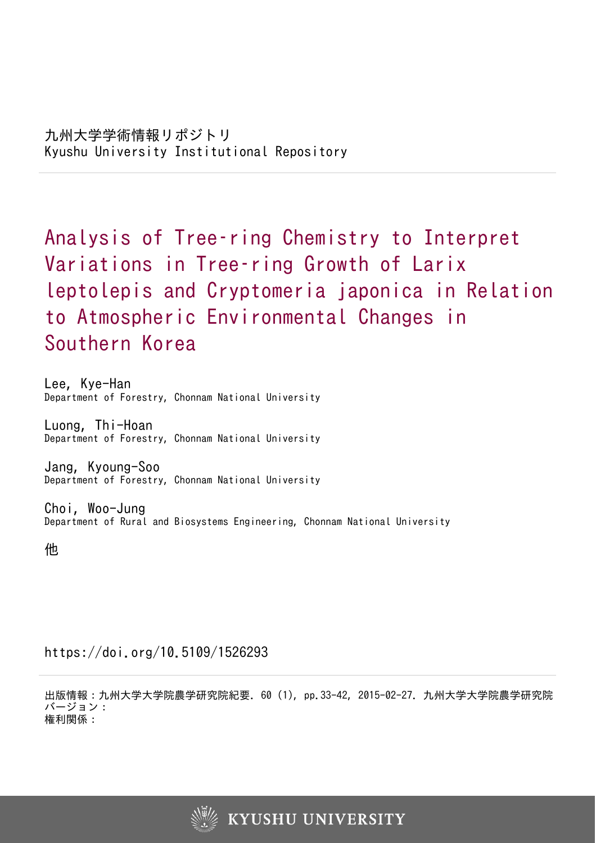Analysis of Tree–ring Chemistry to Interpret Variations in Tree–ring Growth of Larix leptolepis and Cryptomeria japonica in Relation to Atmospheric Environmental Changes in Southern Korea

Lee, Kye-Han Department of Forestry, Chonnam National University

Luong, Thi-Hoan Department of Forestry, Chonnam National University

Jang, Kyoung-Soo Department of Forestry, Chonnam National University

Choi, Woo-Jung Department of Rural and Biosystems Engineering, Chonnam National University

他

https://doi.org/10.5109/1526293

出版情報:九州大学大学院農学研究院紀要. 60 (1), pp.33-42, 2015-02-27. 九州大学大学院農学研究院 バージョン: 権利関係:

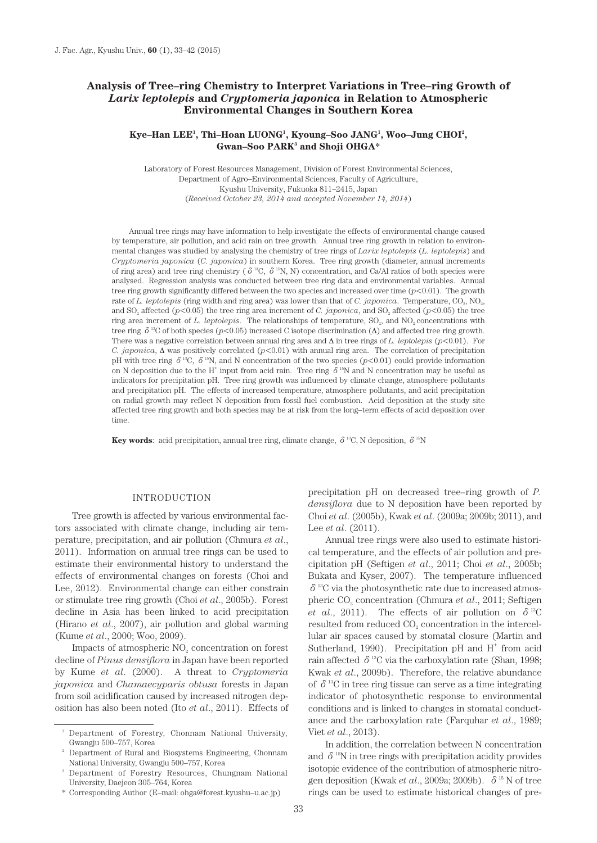# **Analysis of Tree–ring Chemistry to Interpret Variations in Tree–ring Growth of**  *Larix leptolepis* **and** *Cryptomeria japonica* **in Relation to Atmospheric Environmental Changes in Southern Korea**

# **Kye–Han LEE1 , Thi–Hoan LUONG1 , Kyoung–Soo JANG1 , Woo–Jung CHOI2 , Gwan–Soo PARK3 and Shoji OHGA\***

Laboratory of Forest Resources Management, Division of Forest Environmental Sciences, Department of Agro–Environmental Sciences, Faculty of Agriculture, Kyushu University, Fukuoka 811–2415, Japan (*Received October 23, 2014 and accepted November 14, 2014*)

Annual tree rings may have information to help investigate the effects of environmental change caused by temperature, air pollution, and acid rain on tree growth. Annual tree ring growth in relation to environmental changes was studied by analysing the chemistry of tree rings of *Larix leptolepis* (*L. leptolepis*) and *Cryptomeria japonica* (*C. japonica*) in southern Korea. Tree ring growth (diameter, annual increments of ring area) and tree ring chemistry ( $\delta^{13}C$ ,  $\delta^{15}N$ , N) concentration, and Ca/Al ratios of both species were analysed. Regression analysis was conducted between tree ring data and environmental variables. Annual tree ring growth significantly differed between the two species and increased over time  $(p<0.01)$ . The growth rate of *L. leptolepis* (ring width and ring area) was lower than that of *C. japonica*. Temperature, CO<sub>2</sub>, NO<sub>2</sub>, and  $SO_2$  affected ( $p<0.05$ ) the tree ring area increment of *C. japonica*, and  $SO_2$  affected ( $p<0.05$ ) the tree ring area increment of *L. leptolepis*. The relationships of temperature, SO<sub>2</sub>, and NO<sub>2</sub> concentrations with tree ring  $\delta^{13}$ C of both species ( $p$ <0.05) increased C isotope discrimination ( $\Delta$ ) and affected tree ring growth. There was a negative correlation between annual ring area and ∆ in tree rings of *L. leptolepis* (*p*<0.01). For *C. japonica*, ∆ was positively correlated (*p*<0.01) with annual ring area. The correlation of precipitation pH with tree ring  $\delta^{13}C$ ,  $\delta^{15}N$ , and N concentration of the two species (*p*<0.01) could provide information on N deposition due to the H<sup>+</sup> input from acid rain. Tree ring  $\delta^{15}N$  and N concentration may be useful as indicators for precipitation pH. Tree ring growth was influenced by climate change, atmosphere pollutants and precipitation pH. The effects of increased temperature, atmosphere pollutants, and acid precipitation on radial growth may reflect N deposition from fossil fuel combustion. Acid deposition at the study site affected tree ring growth and both species may be at risk from the long–term effects of acid deposition over time.

**Key words**: acid precipitation, annual tree ring, climate change,  $\delta^{13}C$ , N deposition,  $\delta^{15}N$ 

## INTRODUCTION

Tree growth is affected by various environmental factors associated with climate change, including air temperature, precipitation, and air pollution (Chmura *et al*., 2011). Information on annual tree rings can be used to estimate their environmental history to understand the effects of environmental changes on forests (Choi and Lee, 2012). Environmental change can either constrain or stimulate tree ring growth (Choi *et al*., 2005b). Forest decline in Asia has been linked to acid precipitation (Hirano *et al*., 2007), air pollution and global warming (Kume *et al*., 2000; Woo, 2009).

Impacts of atmospheric  $NO<sub>2</sub>$  concentration on forest decline of *Pinus densiflora* in Japan have been reported by Kume *et al*. (2000). A threat to *Cryptomeria japonica* and *Chamaecyparis obtusa* forests in Japan from soil acidification caused by increased nitrogen deposition has also been noted (Ito *et al*., 2011). Effects of

\* Corresponding Author (E–mail: ohga@forest.kyushu–u.ac.jp)

precipitation pH on decreased tree–ring growth of *P. densiflora* due to N deposition have been reported by Choi *et al*. (2005b), Kwak *et al*. (2009a; 2009b; 2011), and Lee *et al*. (2011).

Annual tree rings were also used to estimate historical temperature, and the effects of air pollution and precipitation pH (Seftigen *et al*., 2011; Choi *et al*., 2005b; Bukata and Kyser, 2007). The temperature influenced  $\delta$ <sup>13</sup>C via the photosynthetic rate due to increased atmospheric CO<sub>2</sub> concentration (Chmura *et al.*, 2011; Seftigen *et al.*, 2011). The effects of air pollution on  $\delta^{13}$ C resulted from reduced CO<sub>2</sub> concentration in the intercellular air spaces caused by stomatal closure (Martin and Sutherland, 1990). Precipitation pH and  $H^+$  from acid rain affected  $\delta^{13}$ C via the carboxylation rate (Shan, 1998; Kwak *et al*., 2009b). Therefore, the relative abundance of  $\delta^{13}$ C in tree ring tissue can serve as a time integrating indicator of photosynthetic response to environmental conditions and is linked to changes in stomatal conductance and the carboxylation rate (Farquhar *et al*., 1989; Viet *et al*., 2013).

In addition, the correlation between N concentration and  $\delta^{15}$ N in tree rings with precipitation acidity provides isotopic evidence of the contribution of atmospheric nitrogen deposition (Kwak *et al.*, 2009a; 2009b). δ<sup>15</sup> N of tree rings can be used to estimate historical changes of pre-

<sup>&</sup>lt;sup>1</sup> Department of Forestry, Chonnam National University, Gwangju 500–757, Korea

<sup>2</sup> Department of Rural and Biosystems Engineering, Chonnam National University, Gwangju 500–757, Korea

<sup>3</sup> Department of Forestry Resources, Chungnam National University, Daejeon 305–764, Korea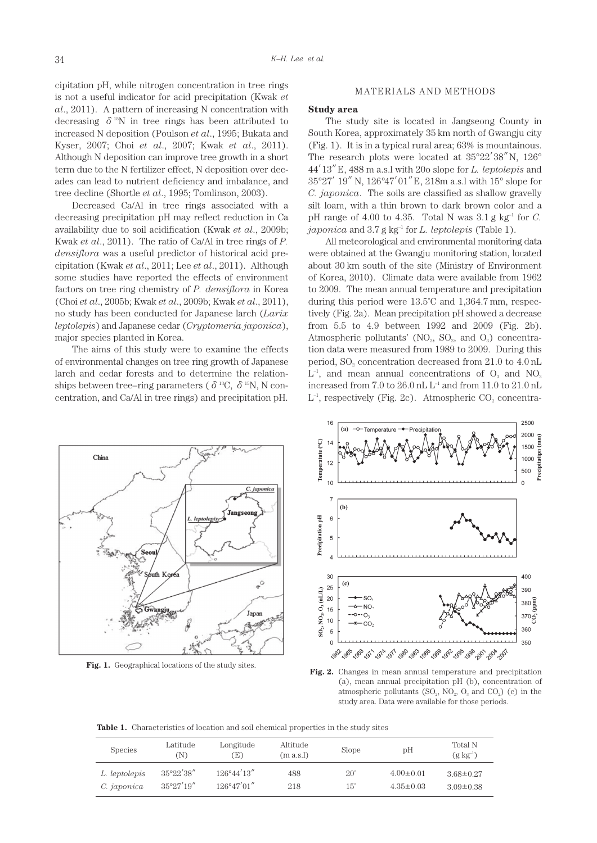cipitation pH, while nitrogen concentration in tree rings is not a useful indicator for acid precipitation (Kwak *et al*., 2011). A pattern of increasing N concentration with decreasing  $\delta^{15}N$  in tree rings has been attributed to increased N deposition (Poulson *et al*., 1995; Bukata and Kyser, 2007; Choi *et al*., 2007; Kwak *et al*., 2011). Although N deposition can improve tree growth in a short term due to the N fertilizer effect, N deposition over decades can lead to nutrient deficiency and imbalance, and tree decline (Shortle *et al*., 1995; Tomlinson, 2003).

Decreased Ca/Al in tree rings associated with a decreasing precipitation pH may reflect reduction in Ca availability due to soil acidification (Kwak *et al*., 2009b; Kwak *et al*., 2011). The ratio of Ca/Al in tree rings of *P. densiflora* was a useful predictor of historical acid precipitation (Kwak *et al*., 2011; Lee *et al*., 2011). Although some studies have reported the effects of environment factors on tree ring chemistry of *P. densiflora* in Korea (Choi *et al*., 2005b; Kwak *et al*., 2009b; Kwak *et al*., 2011), no study has been conducted for Japanese larch (*Larix leptolepis*) and Japanese cedar (*Cryptomeria japonica*), major species planted in Korea.

The aims of this study were to examine the effects of environmental changes on tree ring growth of Japanese larch and cedar forests and to determine the relationships between tree–ring parameters ( $\delta^{13}$ C,  $\delta^{15}$ N, N concentration, and Ca/Al in tree rings) and precipitation pH.

### MATERIALS AND METHODS

#### **Study area**

The study site is located in Jangseong County in South Korea, approximately 35 km north of Gwangju city (Fig. 1). It is in a typical rural area; 63% is mountainous. The research plots were located at 35°22′38″N, 126° 44′13″E, 488 m a.s.l with 20o slope for *L. leptolepis* and 35°27′19″N, 126°47′01″E, 218m a.s.l with 15° slope for *C. japonica*. The soils are classified as shallow gravelly silt loam, with a thin brown to dark brown color and a pH range of 4.00 to 4.35. Total N was  $3.1 \text{ g kg}^{-1}$  for *C*. *japonica* and 3.7 g kg–1 for *L. leptolepis* (Table 1).

All meteorological and environmental monitoring data were obtained at the Gwangju monitoring station, located about 30 km south of the site (Ministry of Environment of Korea, 2010). Climate data were available from 1962 to 2009. The mean annual temperature and precipitation during this period were 13.5˚C and 1,364.7 mm, respectively (Fig. 2a). Mean precipitation pH showed a decrease from 5.5 to 4.9 between 1992 and 2009 (Fig. 2b). Atmospheric pollutants' (NO<sub>2</sub>, SO<sub>2</sub>, and O<sub>3</sub>) concentration data were measured from 1989 to 2009. During this period,  $SO_2$  concentration decreased from 21.0 to 4.0 nL  $L^{-1}$ , and mean annual concentrations of  $O<sub>2</sub>$  and NO<sub>2</sub> increased from 7.0 to 26.0 nL  $\mathrm{L}^{\text{-1}}$  and from 11.0 to 21.0 nL  $L^{-1}$ , respectively (Fig. 2c). Atmospheric CO<sub>2</sub> concentra-





**Fig. 1.** Geographical locations of the study sites.<br>**Fig. 2.** Changes in mean annual temperature and precipitation (a), mean annual precipitation pH (b), concentration of atmospheric pollutants  $(SO_2, NO_2, O_3 \text{ and } CO_2)$  (c) in the study area. Data were available for those periods.

Table 1. Characteristics of location and soil chemical properties in the study sites

| <b>Species</b> | Latitude<br>N)      | Longitude<br>Œ)      | Altitude<br>(m a.s.l) | Slope        | pH              | <b>Total N</b><br>$(g \; kg^{-1})$ |
|----------------|---------------------|----------------------|-----------------------|--------------|-----------------|------------------------------------|
| L. leptolepis  | $35^{\circ}22'38''$ | $126^{\circ}44'13''$ | 488                   | $20^{\circ}$ | $4.00 \pm 0.01$ | $3.68 \pm 0.27$                    |
| C. japonica    | $35^{\circ}27'19''$ | $126^{\circ}47'01''$ | 218                   | $15^{\circ}$ | $4.35 \pm 0.03$ | $3.09 \pm 0.38$                    |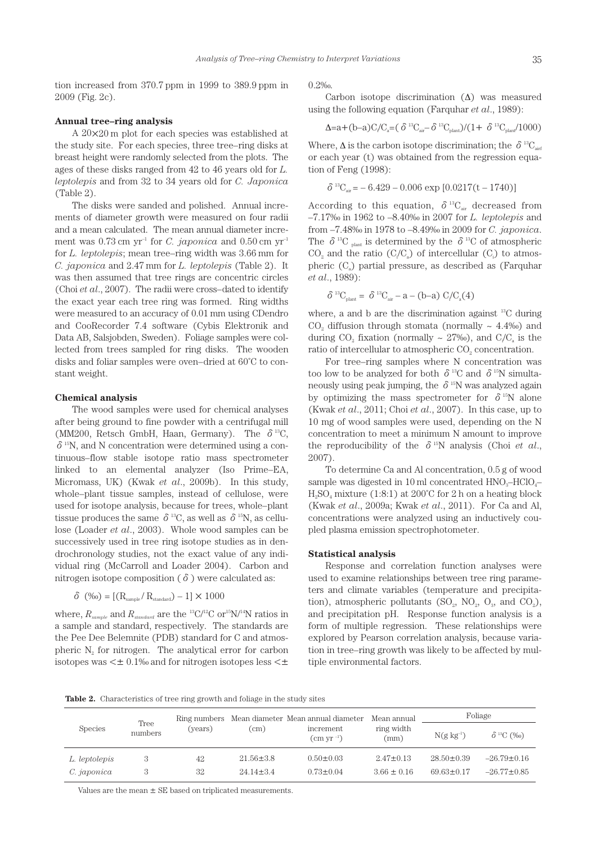tion increased from 370.7 ppm in 1999 to 389.9 ppm in 2009 (Fig. 2c).

### **Annual tree–ring analysis**

A 20×20 m plot for each species was established at the study site. For each species, three tree–ring disks at breast height were randomly selected from the plots. The ages of these disks ranged from 42 to 46 years old for *L. leptolepis* and from 32 to 34 years old for *C. Japonica* (Table 2).

The disks were sanded and polished. Annual increments of diameter growth were measured on four radii and a mean calculated. The mean annual diameter increment was  $0.73$  cm yr<sup>-1</sup> for *C. japonica* and  $0.50$  cm yr<sup>-1</sup> for *L. leptolepis*; mean tree–ring width was 3.66 mm for *C. japonica* and 2.47 mm for *L. leptolepis* (Table 2). It was then assumed that tree rings are concentric circles (Choi *et al*., 2007). The radii were cross–dated to identify the exact year each tree ring was formed. Ring widths were measured to an accuracy of 0.01 mm using CDendro and CooRecorder 7.4 software (Cybis Elektronik and Data AB, Salsjobden, Sweden). Foliage samples were collected from trees sampled for ring disks. The wooden disks and foliar samples were oven–dried at 60˚C to constant weight.

#### **Chemical analysis**

The wood samples were used for chemical analyses after being ground to fine powder with a centrifugal mill (MM200, Retsch GmbH, Haan, Germany). The  $\delta^{13}C$ ,  $\delta$ <sup>15</sup>N, and N concentration were determined using a continuous–flow stable isotope ratio mass spectrometer linked to an elemental analyzer (Iso Prime–EA, Micromass, UK) (Kwak *et al*., 2009b). In this study, whole–plant tissue samples, instead of cellulose, were used for isotope analysis, because for trees, whole–plant tissue produces the same  $\delta^{13}C$ , as well as  $\delta^{15}N$ , as cellulose (Loader *et al*., 2003). Whole wood samples can be successively used in tree ring isotope studies as in dendrochronology studies, not the exact value of any individual ring (McCarroll and Loader 2004). Carbon and nitrogen isotope composition ( $\delta$ ) were calculated as:

$$
\delta~(\%) = [(R_{\text{sample}}/R_{\text{standard}}) - 1] \times 1000
$$

where,  $R_{sample}$  and  $R_{standard}$  are the <sup>13</sup>C/<sup>12</sup>C or<sup>15</sup>N/<sup>14</sup>N ratios in a sample and standard, respectively. The standards are the Pee Dee Belemnite (PDB) standard for C and atmospheric  $N<sub>2</sub>$  for nitrogen. The analytical error for carbon isotopes was  $\leq \pm 0.1\%$  and for nitrogen isotopes less  $\leq \pm 1$  0.2‰.

Carbon isotope discrimination  $(∆)$  was measured using the following equation (Farquhar *et al*., 1989):

$$
\Delta{=}a+(b-a)C/C_a=(\delta^{13}C_{air}-\delta^{13}C_{plant})/(1+\delta^{13}C_{plan}/1000)
$$

Where,  $\Delta$  is the carbon isotope discrimination; the  $\delta^{13}C_{\text{air}}$ or each year (t) was obtained from the regression equation of Feng (1998):

$$
\delta^{13}C_{\text{air}} = -6.429 - 0.006 \exp [0.0217(t - 1740)]
$$

According to this equation,  $\delta^{13}C_{\text{air}}$  decreased from –7.17‰ in 1962 to –8.40‰ in 2007 for *L. leptolepis* and from –7.48‰ in 1978 to –8.49‰ in 2009 for *C. japonica*. The  $\delta^{13}C$  <sub>plant</sub> is determined by the  $\delta^{13}C$  of atmospheric  $CO<sub>2</sub>$  and the ratio  $(C/C<sub>a</sub>)$  of intercellular  $(C<sub>i</sub>)$  to atmospheric  $(C_{\alpha})$  partial pressure, as described as (Farquhar *et al*., 1989):

$$
\delta^{^{13}}C_{\text{plant}} = \delta^{^{13}}C_{\text{air}} - a - (b-a) C_{i}/C_{a}(4)
$$

where, a and b are the discrimination against  $^{13}$ C during CO<sub>2</sub> diffusion through stomata (normally  $\sim$  4.4‰) and during  $CO_2$  fixation (normally ~ 27‰), and  $C/C_a$  is the ratio of intercellular to atmospheric  $CO<sub>2</sub>$  concentration.

For tree–ring samples where N concentration was too low to be analyzed for both  $\delta^{13}$ C and  $\delta^{15}$ N simultaneously using peak jumping, the  $\delta^{15}N$  was analyzed again by optimizing the mass spectrometer for  $\delta^{15}N$  alone (Kwak *et al*., 2011; Choi *et al*., 2007). In this case, up to 10 mg of wood samples were used, depending on the N concentration to meet a minimum N amount to improve the reproducibility of the  $\delta^{15}N$  analysis (Choi *et al.*, 2007).

To determine Ca and Al concentration, 0.5 g of wood sample was digested in 10 ml concentrated  $HNO<sub>3</sub>-HClO<sub>4</sub>$  $H_2SO_4$  mixture (1:8:1) at 200°C for 2 h on a heating block (Kwak *et al*., 2009a; Kwak *et al*., 2011). For Ca and Al, concentrations were analyzed using an inductively coupled plasma emission spectrophotometer.

## **Statistical analysis**

Response and correlation function analyses were used to examine relationships between tree ring parameters and climate variables (temperature and precipitation), atmospheric pollutants ( $SO_2$ ,  $NO_2$ ,  $O_3$ , and  $CO_2$ ), and precipitation pH. Response function analysis is a form of multiple regression. These relationships were explored by Pearson correlation analysis, because variation in tree–ring growth was likely to be affected by multiple environmental factors.

**Table 2.** Characteristics of tree ring growth and foliage in the study sites

| <b>Species</b> | Tree<br>numbers | (years) | (cm)            | Ring numbers Mean diameter Mean annual diameter | Mean annual<br>ring width<br>(mm) | Foliage          |                              |
|----------------|-----------------|---------|-----------------|-------------------------------------------------|-----------------------------------|------------------|------------------------------|
|                |                 |         |                 | increment<br>$\rm \left( cm \; yr^{-1}\right)$  |                                   | $N(g \ kg^{-1})$ | $\delta$ <sup>13</sup> C (%) |
| L. leptolepis  |                 | 42      | $21.56 \pm 3.8$ | $0.50 \pm 0.03$                                 | $2.47 \pm 0.13$                   | $28.50 \pm 0.39$ | $-26.79 \pm 0.16$            |
| C. japonica    |                 | 32      | $2414 + 34$     | $0.73 + 0.04$                                   | $3.66 \pm 0.16$                   | $6963+017$       | $-2677+0.85$                 |

Values are the mean  $\pm$  SE based on triplicated measurements.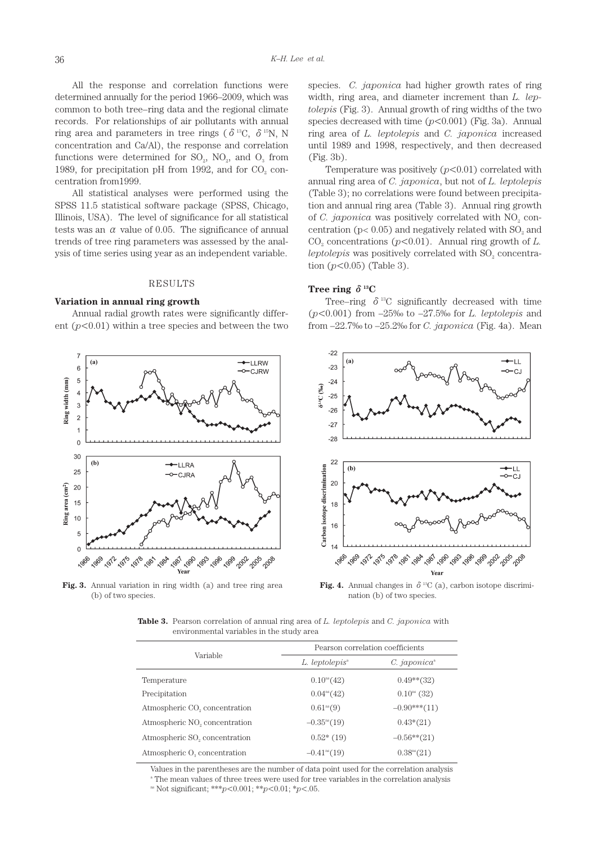All the response and correlation functions were determined annually for the period 1966–2009, which was common to both tree–ring data and the regional climate records. For relationships of air pollutants with annual ring area and parameters in tree rings ( $\delta^{13}C$ ,  $\delta^{15}N$ , N concentration and Ca/Al), the response and correlation functions were determined for  $SO_2$ ,  $NO_2$ , and  $O_3$  from 1989, for precipitation pH from 1992, and for  $CO<sub>2</sub>$  concentration from1999.

All statistical analyses were performed using the SPSS 11.5 statistical software package (SPSS, Chicago, Illinois, USA). The level of significance for all statistical tests was an  $\alpha$  value of 0.05. The significance of annual trends of tree ring parameters was assessed by the analysis of time series using year as an independent variable.

#### RESULTS

### **Variation in annual ring growth**

Annual radial growth rates were significantly different  $(p<0.01)$  within a tree species and between the two



**Fig. 3.** Annual variation in ring width (a) and tree ring area (b) of two species.

species. *C. japonica* had higher growth rates of ring width, ring area, and diameter increment than *L. leptolepis* (Fig. 3). Annual growth of ring widths of the two species decreased with time  $(p<0.001)$  (Fig. 3a). Annual ring area of *L. leptolepis* and *C. japonica* increased until 1989 and 1998, respectively, and then decreased (Fig. 3b).

Temperature was positively  $(p<0.01)$  correlated with annual ring area of *C. japonica*, but not of *L. leptolepis* (Table 3); no correlations were found between precipitation and annual ring area (Table 3). Annual ring growth of *C. japonica* was positively correlated with  $NO<sub>2</sub>$  concentration ( $p < 0.05$ ) and negatively related with  $SO<sub>2</sub>$  and  $CO<sub>2</sub>$  concentrations ( $p<0.01$ ). Annual ring growth of *L*.  $leptolepis$  was positively correlated with  $SO<sub>2</sub>$  concentration  $(p<0.05)$  (Table 3).

# **Tree ring** δ**13C**

Tree–ring  $\delta^{13}C$  significantly decreased with time (*p*<0.001) from –25‰ to –27.5‰ for *L. leptolepis* and from –22.7‰ to –25.2‰ for *C. japonica* (Fig. 4a). Mean



**Fig. 4.** Annual changes in  $\delta^{13}C$  (a), carbon isotope discrimination (b) of two species.

**Table 3.** Pearson correlation of annual ring area of *L. leptolepis* and *C. japonica* with environmental variables in the study area

|                                           | Pearson correlation coefficients |                          |  |  |
|-------------------------------------------|----------------------------------|--------------------------|--|--|
| Variable                                  | L. leptolepis <sup>a</sup>       | C.~japonica <sup>a</sup> |  |  |
| Temperature                               | $0.10^{\text{ns}}(42)$           | $0.49**$ (32)            |  |  |
| Precipitation                             | $0.04^{ns}(42)$                  | $0.10^{ns}$ (32)         |  |  |
| Atmospheric CO <sub>2</sub> concentration | $0.61^{\text{ns}}(9)$            | $-0.90***(11)$           |  |  |
| Atmospheric NO <sub>2</sub> concentration | $-0.35^{\text{ns}}(19)$          | $0.43*(21)$              |  |  |
| Atmospheric SO <sub>2</sub> concentration | $0.52*(19)$                      | $-0.56**$ (21)           |  |  |
| Atmospheric O <sub>2</sub> concentration  | $-0.41^{\text{ns}}(19)$          | 0.38 <sup>ns</sup> (21)  |  |  |

Values in the parentheses are the number of data point used for the correlation analysis

a The mean values of three trees were used for tree variables in the correlation analysis

ns Not significant; \*\*\**p*<0.001; \*\**p*<0.01; \**p*<.05.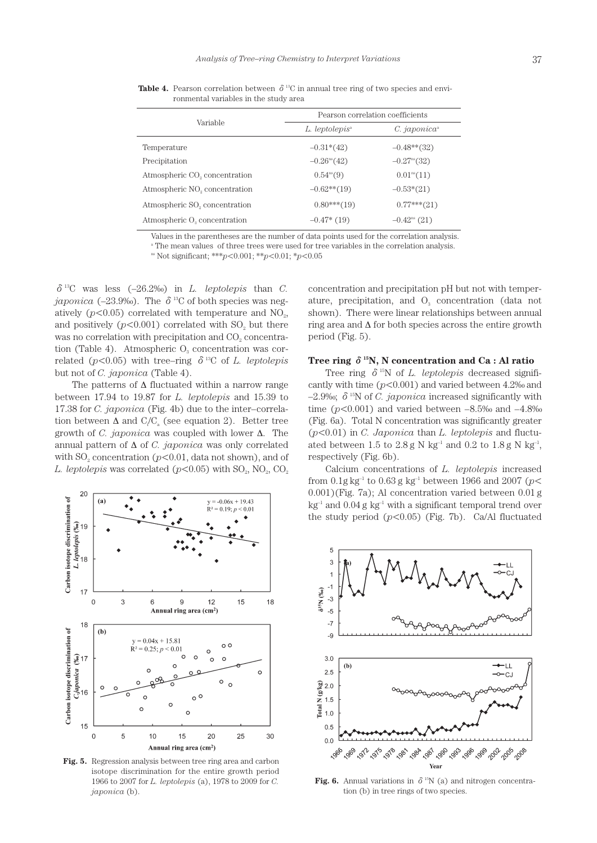|                                           | Pearson correlation coefficients |                              |  |  |
|-------------------------------------------|----------------------------------|------------------------------|--|--|
| Variable                                  | L. leptolepis <sup>a</sup>       | $C.~japonica^*$              |  |  |
| Temperature                               | $-0.31*(42)$                     | $-0.48**$ (32)               |  |  |
| Precipitation                             | $-0.26^{\text{ns}}(42)$          | $-0.27$ <sup>ns</sup> $(32)$ |  |  |
| Atmospheric CO <sub>2</sub> concentration | $0.54^{\text{ns}}(9)$            | $0.01^{\text{ns}}(11)$       |  |  |
| Atmospheric NO <sub>2</sub> concentration | $-0.62**$ (19)                   | $-0.53*(21)$                 |  |  |
| Atmospheric SO <sub>2</sub> concentration | $0.80***(19)$                    | $0.77***(21)$                |  |  |
| Atmospheric O <sub>2</sub> concentration  | $-0.47*$ (19)                    | $-0.42^{\text{ns}}$ (21)     |  |  |

**Table 4.** Pearson correlation between  $\delta^{13}$ C in annual tree ring of two species and environmental variables in the study area

Values in the parentheses are the number of data points used for the correlation analysis.

<sup>a</sup> The mean values of three trees were used for tree variables in the correlation analysis.

ns Not significant; \*\*\**p*<0.001; \*\**p*<0.01; \**p*<0.05

 $\delta^{13}$ C was less  $(-26.2\%)$  in *L. leptolepis* than *C. japonica* (–23.9‰). The  $\delta$ <sup>13</sup>C of both species was negatively  $(p<0.05)$  correlated with temperature and NO<sub>2</sub>, and positively  $(p<0.001)$  correlated with SO<sub>2</sub> but there was no correlation with precipitation and CO<sub>2</sub> concentration (Table 4). Atmospheric  $O_3$  concentration was correlated ( $p$ <0.05) with tree–ring  $\delta$ <sup>13</sup>C of *L. leptolepis* but not of *C. japonica* (Table 4).

The patterns of  $\Delta$  fluctuated within a narrow range between 17.94 to 19.87 for *L. leptolepis* and 15.39 to 17.38 for *C. japonica* (Fig. 4b) due to the inter–correlation between  $\Delta$  and  $C/C<sub>a</sub>$  (see equation 2). Better tree growth of *C. japonica* was coupled with lower ∆. The annual pattern of ∆ of *C. japonica* was only correlated with  $SO<sub>2</sub>$  concentration ( $p<0.01$ , data not shown), and of *L. leptolepis* was correlated  $(p<0.05)$  with SO<sub>2</sub>, NO<sub>2</sub>, CO<sub>2</sub>



**Fig. 5.** Regression analysis between tree ring area and carbon isotope discrimination for the entire growth period 1966 to 2007 for *L. leptolepis* (a), 1978 to 2009 for *C. japonica* (b).

concentration and precipitation pH but not with temperature, precipitation, and  $O<sub>3</sub>$  concentration (data not shown). There were linear relationships between annual ring area and ∆ for both species across the entire growth period (Fig. 5).

# **Tree ring** δ**15N, N concentration and Ca : Al ratio**

Tree ring  $\delta^{15}N$  of *L. leptolepis* decreased significantly with time (*p*<0.001) and varied between 4.2‰ and  $-2.9\%$ ;  $\delta$ <sup>15</sup>N of *C. japonica* increased significantly with time  $(p<0.001)$  and varied between  $-8.5%$  and  $-4.8%$ (Fig. 6a). Total N concentration was significantly greater (*p*<0.01) in *C. Japonica* than *L. leptolepis* and fluctuated between 1.5 to 2.8 g N kg<sup>-1</sup> and 0.2 to 1.8 g N kg<sup>-1</sup>, respectively (Fig. 6b).

Calcium concentrations of *L. leptolepis* increased from  $0.1$ g kg<sup>-1</sup> to  $0.63$  g kg<sup>-1</sup> between 1966 and 2007 ( $p$ < 0.001)(Fig. 7a); Al concentration varied between 0.01 g  $kg<sup>-1</sup>$  and 0.04 g kg<sup>-1</sup> with a significant temporal trend over the study period  $(p<0.05)$  (Fig. 7b). Ca/Al fluctuated



**Fig. 6.** Annual variations in  $\delta^{15}N$  (a) and nitrogen concentration (b) in tree rings of two species.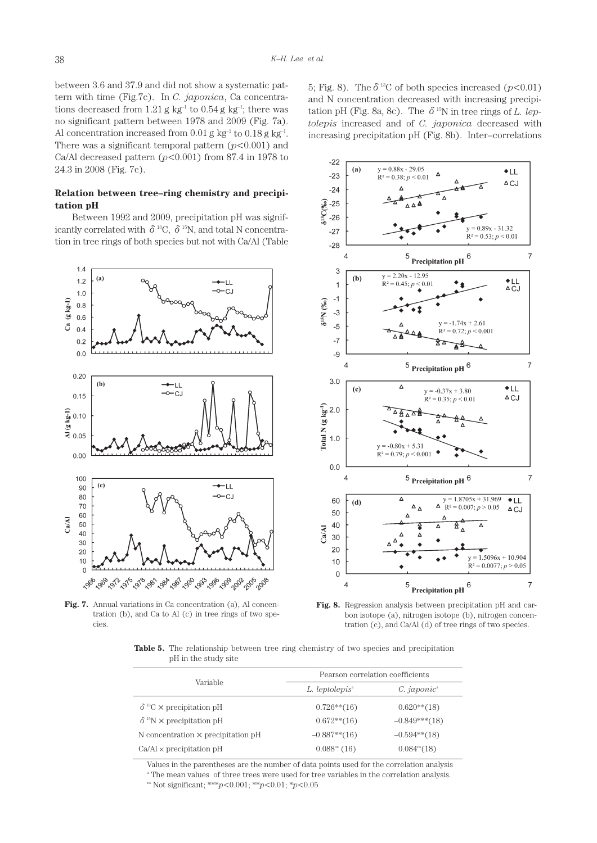between 3.6 and 37.9 and did not show a systematic pattern with time (Fig.7c). In *C. japonica*, Ca concentrations decreased from 1.21 g kg<sup>-1</sup> to 0.54 g kg<sup>-1</sup>; there was no significant pattern between 1978 and 2009 (Fig. 7a). Al concentration increased from  $0.01$  g kg<sup>-1</sup> to  $0.18$  g kg<sup>-1</sup>. There was a significant temporal pattern  $(p<0.001)$  and Ca/Al decreased pattern  $(p<0.001)$  from 87.4 in 1978 to 24.3 in 2008 (Fig. 7c).

# **Relation between tree–ring chemistry and precipitation pH**

Between 1992 and 2009, precipitation pH was significantly correlated with  $\delta^{13}C$ ,  $\delta^{15}N$ , and total N concentration in tree rings of both species but not with Ca/Al (Table



**Fig. 7.** Annual variations in Ca concentration (a), Al concentration (b), and Ca to Al (c) in tree rings of two species.

5; Fig. 8). The  $\delta^{13}$ C of both species increased ( $p$ <0.01) and N concentration decreased with increasing precipitation pH (Fig. 8a, 8c). The  $\delta$ <sup>15</sup>N in tree rings of *L. leptolepis* increased and of *C. japonica* decreased with increasing precipitation pH (Fig. 8b). Inter–correlations



**Fig. 8.** Regression analysis between precipitation pH and carbon isotope (a), nitrogen isotope (b), nitrogen concentration (c), and Ca/Al (d) of tree rings of two species.

Table 5. The relationship between tree ring chemistry of two species and precipitation pH in the study site

|                                                    | Pearson correlation coefficients |                          |  |  |
|----------------------------------------------------|----------------------------------|--------------------------|--|--|
| Variable                                           | L. leptolepis <sup>a</sup>       | $C.~iaponic^*$           |  |  |
| $\delta$ <sup>13</sup> C $\times$ precipitation pH | $0.726**$ (16)                   | $0.620**$ (18)           |  |  |
| $\delta$ <sup>15</sup> N $\times$ precipitation pH | $0.672**(16)$                    | $-0.849***(18)$          |  |  |
| N concentration $\times$ precipitation pH          | $-0.887**$ (16)                  | $-0.594**$ (18)          |  |  |
| $Ca/Al \times$ precipitation pH                    | $0.088ns$ (16)                   | 0.084 <sup>ns</sup> (18) |  |  |

Values in the parentheses are the number of data points used for the correlation analysis

a The mean values of three trees were used for tree variables in the correlation analysis.

ns Not significant; \*\*\**p*<0.001; \*\**p*<0.01; \**p*<0.05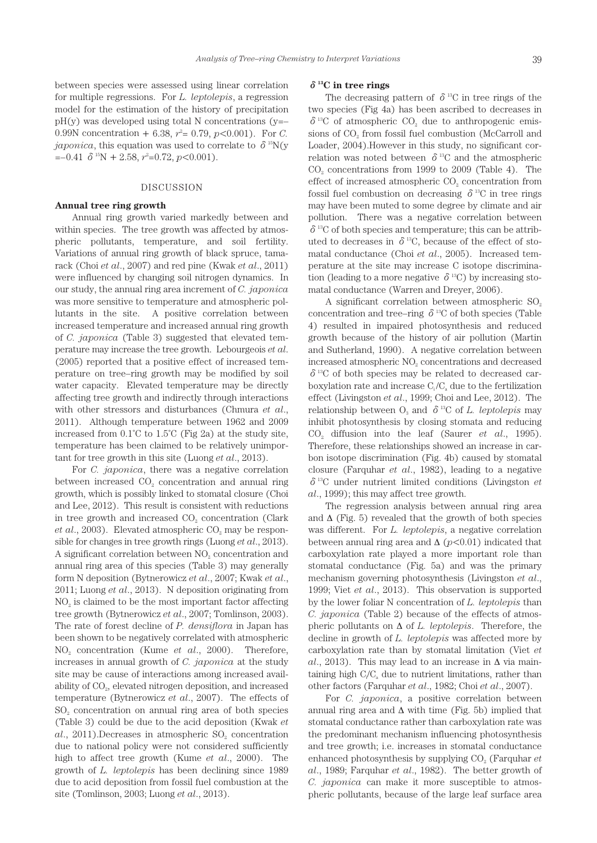between species were assessed using linear correlation for multiple regressions. For *L. leptolepis*, a regression model for the estimation of the history of precipitation  $pH(y)$  was developed using total N concentrations (y=– 0.99N concentration  $+ 6.38$ ,  $r^2 = 0.79$ ,  $p < 0.001$ ). For *C*. *japonica*, this equation was used to correlate to  $\delta^{15}N(y)$  $=-0.41 \delta^{15}N + 2.58, r^2=0.72, p<0.001$ .

## DISCUSSION

## **Annual tree ring growth**

Annual ring growth varied markedly between and within species. The tree growth was affected by atmospheric pollutants, temperature, and soil fertility. Variations of annual ring growth of black spruce, tamarack (Choi *et al*., 2007) and red pine (Kwak *et al*., 2011) were influenced by changing soil nitrogen dynamics. In our study, the annual ring area increment of *C. japonica*  was more sensitive to temperature and atmospheric pollutants in the site. A positive correlation between increased temperature and increased annual ring growth of *C. japonica* (Table 3) suggested that elevated temperature may increase the tree growth. Lebourgeois *et al*. (2005) reported that a positive effect of increased temperature on tree–ring growth may be modified by soil water capacity. Elevated temperature may be directly affecting tree growth and indirectly through interactions with other stressors and disturbances (Chmura *et al*., 2011). Although temperature between 1962 and 2009 increased from 0.1˚C to 1.5˚C (Fig 2a) at the study site, temperature has been claimed to be relatively unimportant for tree growth in this site (Luong *et al*., 2013).

For *C. japonica*, there was a negative correlation between increased  $CO<sub>2</sub>$  concentration and annual ring growth, which is possibly linked to stomatal closure (Choi and Lee, 2012). This result is consistent with reductions in tree growth and increased  $CO<sub>2</sub>$  concentration (Clark  $et al., 2003$ ). Elevated atmospheric  $CO<sub>2</sub>$  may be responsible for changes in tree growth rings (Luong *et al*., 2013). A significant correlation between NO<sub>2</sub> concentration and annual ring area of this species (Table 3) may generally form N deposition (Bytnerowicz *et al*., 2007; Kwak *et al*., 2011; Luong *et al*., 2013). N deposition originating from  $NO<sub>2</sub>$  is claimed to be the most important factor affecting tree growth (Bytnerowicz *et al*., 2007; Tomlinson, 2003). The rate of forest decline of *P. densiflora* in Japan has been shown to be negatively correlated with atmospheric NO2 concentration (Kume *et al*., 2000). Therefore, increases in annual growth of *C. japonica* at the study site may be cause of interactions among increased availability of CO<sub>2</sub>, elevated nitrogen deposition, and increased temperature (Bytnerowicz *et al*., 2007). The effects of SO<sub>2</sub> concentration on annual ring area of both species (Table 3) could be due to the acid deposition (Kwak *et al.*, 2011).Decreases in atmospheric SO<sub>2</sub> concentration due to national policy were not considered sufficiently high to affect tree growth (Kume *et al*., 2000). The growth of *L. leptolepis* has been declining since 1989 due to acid deposition from fossil fuel combustion at the site (Tomlinson, 2003; Luong *et al*., 2013).

### δ**13C in tree rings**

The decreasing pattern of  $\delta^{13}$ C in tree rings of the two species (Fig 4a) has been ascribed to decreases in  $\delta^{13}$ C of atmospheric CO<sub>2</sub> due to anthropogenic emissions of  $CO<sub>2</sub>$  from fossil fuel combustion (McCarroll and Loader, 2004).However in this study, no significant correlation was noted between  $\delta^{13}$ C and the atmospheric  $CO<sub>2</sub>$  concentrations from 1999 to 2009 (Table 4). The effect of increased atmospheric CO<sub>2</sub> concentration from fossil fuel combustion on decreasing  $\delta^{13}$ C in tree rings may have been muted to some degree by climate and air pollution. There was a negative correlation between  $\delta$ <sup>13</sup>C of both species and temperature; this can be attributed to decreases in  $\delta^{13}$ C, because of the effect of stomatal conductance (Choi *et al*., 2005). Increased temperature at the site may increase C isotope discrimination (leading to a more negative  $\delta^{13}$ C) by increasing stomatal conductance (Warren and Dreyer, 2006).

A significant correlation between atmospheric SO<sub>2</sub> concentration and tree–ring  $\delta^{13}$ C of both species (Table 4) resulted in impaired photosynthesis and reduced growth because of the history of air pollution (Martin and Sutherland, 1990). A negative correlation between increased atmospheric NO<sub>2</sub> concentrations and decreased  $\delta^{13}$ C of both species may be related to decreased carboxylation rate and increase  $C_i/C_a$  due to the fertilization effect (Livingston *et al*., 1999; Choi and Lee, 2012). The relationship between  $O_3$  and  $\delta^{13}C$  of *L. leptolepis* may inhibit photosynthesis by closing stomata and reducing CO2 diffusion into the leaf (Saurer *et al*., 1995). Therefore, these relationships showed an increase in carbon isotope discrimination (Fig. 4b) caused by stomatal closure (Farquhar *et al*., 1982), leading to a negative δ13C under nutrient limited conditions (Livingston *et al*., 1999); this may affect tree growth.

The regression analysis between annual ring area and  $\Delta$  (Fig. 5) revealed that the growth of both species was different. For *L. leptolepis*, a negative correlation between annual ring area and ∆ (*p*<0.01) indicated that carboxylation rate played a more important role than stomatal conductance (Fig. 5a) and was the primary mechanism governing photosynthesis (Livingston *et al*., 1999; Viet *et al*., 2013). This observation is supported by the lower foliar N concentration of *L. leptolepis* than *C. japonica* (Table 2) because of the effects of atmospheric pollutants on ∆ of *L. leptolepis*. Therefore, the decline in growth of *L. leptolepis* was affected more by carboxylation rate than by stomatal limitation (Viet *et al*., 2013). This may lead to an increase in ∆ via maintaining high  $C/C<sub>a</sub>$  due to nutrient limitations, rather than other factors (Farquhar *et al*., 1982; Choi *et al*., 2007).

For *C. japonica*, a positive correlation between annual ring area and  $\Delta$  with time (Fig. 5b) implied that stomatal conductance rather than carboxylation rate was the predominant mechanism influencing photosynthesis and tree growth; i.e. increases in stomatal conductance enhanced photosynthesis by supplying CO<sub>2</sub> (Farquhar *et*) *al*., 1989; Farquhar *et al*., 1982). The better growth of *C. japonica* can make it more susceptible to atmospheric pollutants, because of the large leaf surface area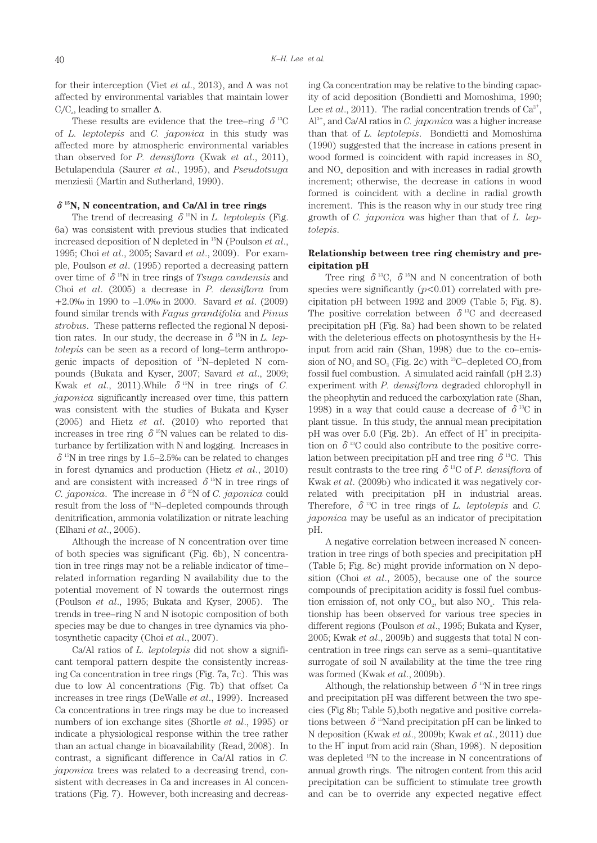for their interception (Viet *et al*., 2013), and ∆ was not affected by environmental variables that maintain lower  $C_i/C_a$ , leading to smaller  $\Delta$ .

These results are evidence that the tree–ring  $\delta^{13}$ C of *L. leptolepis* and *C. japonica* in this study was affected more by atmospheric environmental variables than observed for *P. densiflora* (Kwak *et al*., 2011), Betulapendula (Saurer *et al*., 1995), and *Pseudotsuga* menziesii (Martin and Sutherland, 1990).

## δ**15N, N concentration, and Ca/Al in tree rings**

The trend of decreasing  $\delta^{15}N$  in *L. leptolepis* (Fig. 6a) was consistent with previous studies that indicated increased deposition of N depleted in 15N (Poulson *et al*., 1995; Choi *et al*., 2005; Savard *et al*., 2009). For example, Poulson *et al*. (1995) reported a decreasing pattern over time of  $\delta^{15}$ N in tree rings of *Tsuga candensis* and Choi *et al*. (2005) a decrease in *P. densiflora* from +2.0‰ in 1990 to –1.0‰ in 2000. Savard *et al*. (2009) found similar trends with *Fagus grandifolia* and *Pinus strobus*. These patterns reflected the regional N deposition rates. In our study, the decrease in  $\delta^{15}$ N in *L. leptolepis* can be seen as a record of long–term anthropogenic impacts of deposition of 15N–depleted N compounds (Bukata and Kyser, 2007; Savard *et al*., 2009; Kwak *et al.*, 2011).While  $\delta^{15}N$  in tree rings of *C*. *japonica* significantly increased over time, this pattern was consistent with the studies of Bukata and Kyser (2005) and Hietz *et al*. (2010) who reported that increases in tree ring  $\delta^{15}N$  values can be related to disturbance by fertilization with N and logging. Increases in  $\delta$ <sup>15</sup>N in tree rings by 1.5–2.5‰ can be related to changes in forest dynamics and production (Hietz *et al*., 2010) and are consistent with increased  $\delta^{15}N$  in tree rings of *C. japonica.* The increase in  $\delta^{15}N$  of *C. japonica* could result from the loss of 15N–depleted compounds through denitrification, ammonia volatilization or nitrate leaching (Elhani *et al*., 2005).

Although the increase of N concentration over time of both species was significant (Fig. 6b), N concentration in tree rings may not be a reliable indicator of time– related information regarding N availability due to the potential movement of N towards the outermost rings (Poulson *et al*., 1995; Bukata and Kyser, 2005). The trends in tree–ring N and N isotopic composition of both species may be due to changes in tree dynamics via photosynthetic capacity (Choi *et al*., 2007).

Ca/Al ratios of *L. leptolepis* did not show a significant temporal pattern despite the consistently increasing Ca concentration in tree rings (Fig. 7a, 7c). This was due to low Al concentrations (Fig. 7b) that offset Ca increases in tree rings (DeWalle *et al*., 1999). Increased Ca concentrations in tree rings may be due to increased numbers of ion exchange sites (Shortle *et al*., 1995) or indicate a physiological response within the tree rather than an actual change in bioavailability (Read, 2008). In contrast, a significant difference in Ca/Al ratios in *C. japonica* trees was related to a decreasing trend, consistent with decreases in Ca and increases in Al concentrations (Fig. 7). However, both increasing and decreasing Ca concentration may be relative to the binding capacity of acid deposition (Bondietti and Momoshima, 1990; Lee *et al.*, 2011). The radial concentration trends of  $Ca^{2+}$ , Al3+ , and Ca/Al ratios in *C. japonica* was a higher increase than that of *L. leptolepis*. Bondietti and Momoshima (1990) suggested that the increase in cations present in wood formed is coincident with rapid increases in SO<sub>x</sub> and NO<sub>x</sub> deposition and with increases in radial growth increment; otherwise, the decrease in cations in wood formed is coincident with a decline in radial growth increment. This is the reason why in our study tree ring growth of *C. japonica* was higher than that of *L. leptolepis*.

## **Relationship between tree ring chemistry and precipitation pH**

Tree ring  $\delta^{13}C$ ,  $\delta^{15}N$  and N concentration of both species were significantly  $(p<0.01)$  correlated with precipitation pH between 1992 and 2009 (Table 5; Fig. 8). The positive correlation between  $\delta^{13}$ C and decreased precipitation pH (Fig. 8a) had been shown to be related with the deleterious effects on photosynthesis by the H+ input from acid rain (Shan, 1998) due to the co–emission of  $NO_2$  and  $SO_2$  (Fig. 2c) with <sup>13</sup>C–depleted  $CO_2$  from fossil fuel combustion. A simulated acid rainfall (pH 2.3) experiment with *P. densiflora* degraded chlorophyll in the pheophytin and reduced the carboxylation rate (Shan, 1998) in a way that could cause a decrease of  $\delta^{13}C$  in plant tissue. In this study, the annual mean precipitation pH was over  $5.0$  (Fig. 2b). An effect of  $H^+$  in precipitation on  $\delta^{13}$ C could also contribute to the positive correlation between precipitation pH and tree ring  $\delta^{13}$ C. This result contrasts to the tree ring  $\delta^{13}$ C of *P. densiflora* of Kwak *et al*. (2009b) who indicated it was negatively correlated with precipitation pH in industrial areas. Therefore,  $\delta^{13}$ C in tree rings of *L. leptolepis* and *C. japonica* may be useful as an indicator of precipitation pH.

A negative correlation between increased N concentration in tree rings of both species and precipitation pH (Table 5; Fig. 8c) might provide information on N deposition (Choi *et al*., 2005), because one of the source compounds of precipitation acidity is fossil fuel combustion emission of, not only  $CO<sub>2</sub>$ , but also  $NO<sub>x</sub>$ . This relationship has been observed for various tree species in different regions (Poulson *et al*., 1995; Bukata and Kyser, 2005; Kwak *et al*., 2009b) and suggests that total N concentration in tree rings can serve as a semi–quantitative surrogate of soil N availability at the time the tree ring was formed (Kwak *et al*., 2009b).

Although, the relationship between  $\delta^{15}N$  in tree rings and precipitation pH was different between the two species (Fig 8b; Table 5),both negative and positive correlations between  $\delta^{15}$ Nand precipitation pH can be linked to N deposition (Kwak *et al*., 2009b; Kwak *et al*., 2011) due to the H<sup>+</sup> input from acid rain (Shan, 1998). N deposition was depleted <sup>15</sup>N to the increase in N concentrations of annual growth rings. The nitrogen content from this acid precipitation can be sufficient to stimulate tree growth and can be to override any expected negative effect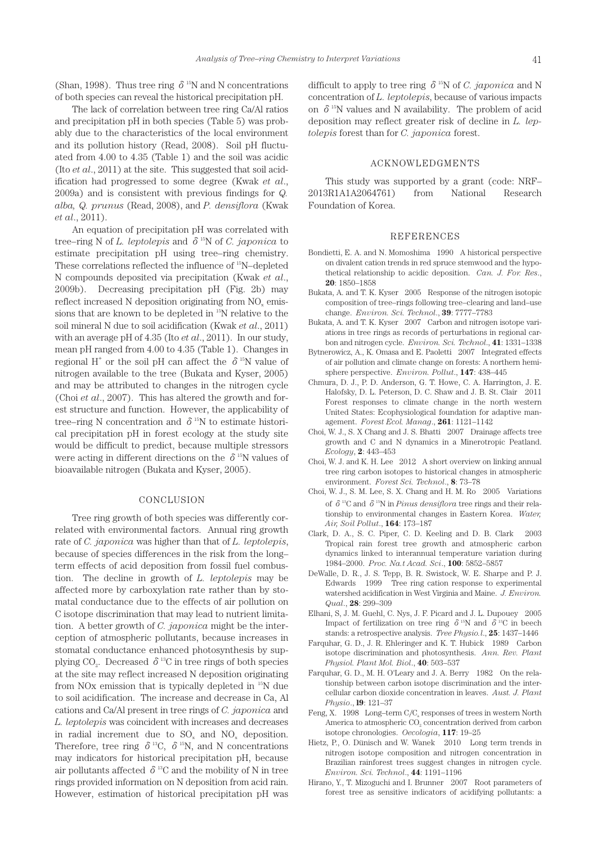(Shan, 1998). Thus tree ring  $\delta^{15}N$  and N concentrations of both species can reveal the historical precipitation pH.

The lack of correlation between tree ring Ca/Al ratios and precipitation pH in both species (Table 5) was probably due to the characteristics of the local environment and its pollution history (Read, 2008). Soil pH fluctuated from 4.00 to 4.35 (Table 1) and the soil was acidic (Ito *et al*., 2011) at the site. This suggested that soil acidification had progressed to some degree (Kwak *et al*., 2009a) and is consistent with previous findings for *Q. alba, Q. prunus* (Read, 2008), and *P. densiflora* (Kwak *et al*., 2011).

An equation of precipitation pH was correlated with tree–ring N of *L. leptolepis* and  $\delta^{15}N$  of *C. japonica* to estimate precipitation pH using tree–ring chemistry. These correlations reflected the influence of 15N–depleted N compounds deposited via precipitation (Kwak *et al*., 2009b). Decreasing precipitation pH (Fig. 2b) may reflect increased  $N$  deposition originating from  $NO<sub>x</sub>$  emissions that are known to be depleted in 15N relative to the soil mineral N due to soil acidification (Kwak *et al*., 2011) with an average pH of 4.35 (Ito *et al*., 2011). In our study, mean pH ranged from 4.00 to 4.35 (Table 1). Changes in regional H<sup>+</sup> or the soil pH can affect the  $\delta^{15}N$  value of nitrogen available to the tree (Bukata and Kyser, 2005) and may be attributed to changes in the nitrogen cycle (Choi *et al*., 2007). This has altered the growth and forest structure and function. However, the applicability of tree–ring N concentration and  $\delta^{15}N$  to estimate historical precipitation pH in forest ecology at the study site would be difficult to predict, because multiple stressors were acting in different directions on the  $\delta^{15}N$  values of bioavailable nitrogen (Bukata and Kyser, 2005).

#### CONCLUSION

Tree ring growth of both species was differently correlated with environmental factors. Annual ring growth rate of *C. japonica* was higher than that of *L. leptolepis*, because of species differences in the risk from the long– term effects of acid deposition from fossil fuel combustion. The decline in growth of *L. leptolepis* may be affected more by carboxylation rate rather than by stomatal conductance due to the effects of air pollution on C isotope discrimination that may lead to nutrient limitation. A better growth of *C. japonica* might be the interception of atmospheric pollutants, because increases in stomatal conductance enhanced photosynthesis by supplying CO<sub>2</sub>. Decreased  $\delta^{13}$ C in tree rings of both species at the site may reflect increased N deposition originating from NOx emission that is typically depleted in 15N due to soil acidification. The increase and decrease in Ca, Al cations and Ca/Al present in tree rings of *C. japonica* and *L. leptolepis* was coincident with increases and decreases in radial increment due to SO<sub>x</sub> and NO<sub>x</sub> deposition. Therefore, tree ring  $\delta^{13}C$ ,  $\delta^{15}N$ , and N concentrations may indicators for historical precipitation pH, because air pollutants affected  $\delta^{13}$ C and the mobility of N in tree rings provided information on N deposition from acid rain. However, estimation of historical precipitation pH was

difficult to apply to tree ring  $\delta^{15}N$  of *C. japonica* and N concentration of *L. leptolepis*, because of various impacts on  $\delta^{15}$ N values and N availability. The problem of acid deposition may reflect greater risk of decline in *L. leptolepis* forest than for *C. japonica* forest.

### ACKNOWLEDGMENTS

This study was supported by a grant (code: NRF– 2013R1A1A2064761) from National Research Foundation of Korea.

## REFERENCES

- Bondietti, E. A. and N. Momoshima 1990 A historical perspective on divalent cation trends in red spruce stemwood and the hypothetical relationship to acidic deposition. *Can. J. For. Res*., **20**: 1850–1858
- Bukata, A. and T. K. Kyser 2005 Response of the nitrogen isotopic composition of tree–rings following tree–clearing and land–use change. *Environ. Sci. Technol*., **39**: 7777–7783
- Bukata, A. and T. K. Kyser 2007 Carbon and nitrogen isotope variations in tree rings as records of perturbations in regional carbon and nitrogen cycle. *Environ. Sci. Technol*., **41**: 1331–1338
- Bytnerowicz, A., K. Omasa and E. Paoletti 2007 Integrated effects of air pollution and climate change on forests: A northern hemisphere perspective. *Environ. Pollut*., **147**: 438–445
- Chmura, D. J., P. D. Anderson, G. T. Howe, C. A. Harrington, J. E. Halofsky, D. L. Peterson, D. C. Shaw and J. B. St. Clair 2011 Forest responses to climate change in the north western United States: Ecophysiological foundation for adaptive management. *Forest Ecol. Manag*., **261**: 1121–1142
- Choi, W. J., S. X Chang and J. S. Bhatti 2007 Drainage affects tree growth and C and N dynamics in a Minerotropic Peatland. *Ecology*, **2**: 443–453
- Choi, W. J. and K. H. Lee 2012 A short overview on linking annual tree ring carbon isotopes to historical changes in atmospheric environment. *Forest Sci. Technol*., **8**: 73–78
- Choi, W. J., S. M. Lee, S. X. Chang and H. M. Ro 2005 Variations of δ13C and δ15N in *Pinus densiflora* tree rings and their relationship to environmental changes in Eastern Korea. *Water, Air, Soil Pollut*., **164**: 173–187
- Clark, D. A., S. C. Piper, C. D. Keeling and D. B. Clark 2003 Tropical rain forest tree growth and atmospheric carbon dynamics linked to interannual temperature variation during 1984–2000. *Proc. Na.t Acad. Sci*., **100**: 5852–5857
- DeWalle, D. R., J. S. Tepp, B. R. Swistock, W. E. Sharpe and P. J. Edwards 1999 Tree ring cation response to experimental watershed acidification in West Virginia and Maine. *J. Environ. Qual*., **28**: 299–309
- Elhani, S, J. M. Guehl, C. Nys, J. F. Picard and J. L. Dupouey 2005 Impact of fertilization on tree ring  $\delta^{15}N$  and  $\delta^{13}C$  in beech stands: a retrospective analysis. *Tree Physio.l*., **25**: 1437–1446
- Farquhar, G. D., J. R. Ehleringer and K. T. Hubick 1989 Carbon isotope discrimination and photosynthesis. *Ann. Rev. Plant Physiol. Plant Mol. Biol*., **40**: 503–537
- Farquhar, G. D., M. H. O'Leary and J. A. Berry 1982 On the relationship between carbon isotope discrimination and the intercellular carbon dioxide concentration in leaves. *Aust. J. Plant Physio*., **l9**: 121–37
- Feng, X.  $1998$  Long-term  $C/C_a$  responses of trees in western North America to atmospheric CO<sub>2</sub> concentration derived from carbon isotope chronologies. *Oecologia*, **117**: 19–25
- Hietz, P., O. Dünisch and W. Wanek 2010 Long term trends in nitrogen isotope composition and nitrogen concentration in Brazilian rainforest trees suggest changes in nitrogen cycle. *Environ. Sci. Technol*., **44**: 1191–1196
- Hirano, Y., T. Mizoguchi and I. Brunner 2007 Root parameters of forest tree as sensitive indicators of acidifying pollutants: a